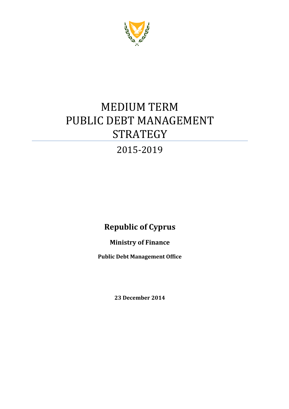

# MEDIUM TERM PUBLIC DEBT MANAGEMENT **STRATEGY**

## 2015-2019

## **Republic of Cyprus**

## **Ministry of Finance**

**Public Debt Management Office**

**23 December 2014**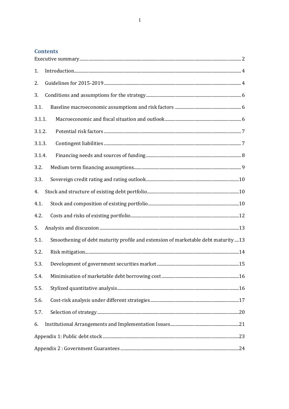$\overline{1}$ 

### **Contents**

| 1.     |                                                                                   |  |
|--------|-----------------------------------------------------------------------------------|--|
| 2.     |                                                                                   |  |
| 3.     |                                                                                   |  |
| 3.1.   |                                                                                   |  |
| 3.1.1. |                                                                                   |  |
| 3.1.2. |                                                                                   |  |
| 3.1.3. |                                                                                   |  |
| 3.1.4. |                                                                                   |  |
| 3.2.   |                                                                                   |  |
| 3.3.   |                                                                                   |  |
| 4.     |                                                                                   |  |
| 4.1.   |                                                                                   |  |
| 4.2.   |                                                                                   |  |
| 5.     |                                                                                   |  |
| 5.1.   | Smoothening of debt maturity profile and extension of marketable debt maturity 13 |  |
| 5.2.   |                                                                                   |  |
| 5.3.   |                                                                                   |  |
|        |                                                                                   |  |
| 5.5.   |                                                                                   |  |
| 5.6.   |                                                                                   |  |
| 5.7.   |                                                                                   |  |
| 6.     |                                                                                   |  |
|        |                                                                                   |  |
|        |                                                                                   |  |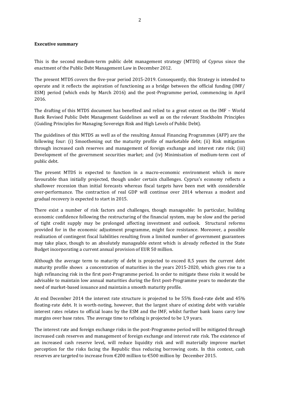#### <span id="page-2-0"></span>**Executive summary**

This is the second medium-term public debt management strategy (MTDS) of Cyprus since the enactment of the Public Debt Management Law in December 2012.

The present MTDS covers the five-year period 2015-2019. Consequently, this Strategy is intended to operate and it reflects the aspiration of functioning as a bridge between the official funding (IMF/ ESM) period (which ends by March 2016) and the post-Programme period, commencing in April 2016.

The drafting of this MTDS document has benefited and relied to a great extent on the IMF – World Bank Revised Public Debt Management Guidelines as well as on the relevant Stockholm Principles (Guiding Principles for Managing Sovereign Risk and High Levels of Public Debt).

The guidelines of this MTDS as well as of the resulting Annual Financing Programmes (AFP) are the following four: (i) Smoothening out the maturity profile of marketable debt; (ii) Risk mitigation through increased cash reserves and management of foreign exchange and interest rate risk; (iii) Development of the government securities market; and (iv) Minimisation of medium-term cost of public debt.

The present MTDS is expected to function in a macro-economic environment which is more favourable than initially projected, though under certain challenges. Cyprus's economy reflects a shallower recession than initial forecasts whereas fiscal targets have been met with considerable over-performance. The contraction of real GDP will continue over 2014 whereas a modest and gradual recovery is expected to start in 2015.

There exist a number of risk factors and challenges, though manageable: In particular, building economic confidence following the restructuring of the financial system, may be slow and the period of tight credit supply may be prolonged affecting investment and outlook. Structural reforms provided for in the economic adjustment programme, might face resistance. Moreover, a possible realization of contingent fiscal liabilities resulting from a limited number of government guarantees may take place, though to an absolutely manageable extent which is already reflected in the State Budget incorporating a current annual provision of EUR 50 million.

Although the average term to maturity of debt is projected to exceed 8,5 years the current debt maturity profile shows a concentration of maturities in the years 2015-2020, which gives rise to a high refinancing risk in the first post-Programme period. In order to mitigate these risks it would be advisable to maintain low annual maturities during the first post-Programme years to moderate the need of market-based issuance and maintain a smooth maturity profile.

At end December 2014 the interest rate structure is projected to be 55% fixed-rate debt and 45% floating-rate debt. It is worth-noting, however, that the largest share of existing debt with variable interest rates relates to official loans by the ESM and the IMF, whilst further bank loans carry low margins over base rates. The average time to refixing is projected to be 1,9 years.

The interest rate and foreign exchange risks in the post-Programme period will be mitigated through increased cash reserves and management of foreign exchange and interest rate risk. The existence of an increased cash reserve level, will reduce liquidity risk and will materially improve market perception for the risks facing the Republic thus reducing borrowing costs. In this context, cash reserves are targeted to increase from €200 million to €500 million by December 2015.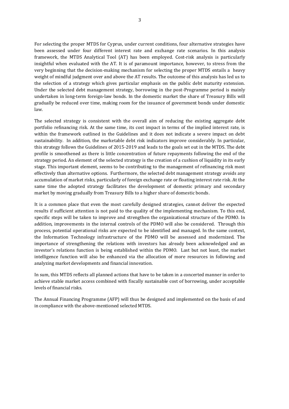For selecting the proper MTDS for Cyprus, under current conditions, four alternative strategies have been assessed under four different interest rate and exchange rate scenarios. In this analysis framework, the MTDS Analytical Tool (AT) has been employed. Cost-risk analysis is particularly insightful when evaluated with the AT. It is of paramount importance, however, to stress from the very beginning that the decision-making mechanism for selecting the proper MTDS entails a heavy weight of mindful judgment over and above the AT results. The outcome of this analysis has led us to the selection of a strategy which gives particular emphasis on the public debt maturity extension. Under the selected debt management strategy, borrowing in the post-Programme period is mainly undertaken in long-term foreign-law bonds. In the domestic market the share of Treasury Bills will gradually be reduced over time, making room for the issuance of government bonds under domestic law.

The selected strategy is consistent with the overall aim of reducing the existing aggregate debt portfolio refinancing risk. At the same time, its cost impact in terms of the implied interest rate, is within the framework outlined in the Guidelines and it does not indicate a severe impact on debt sustainability. In addition, the marketable debt risk indicators improve considerably. In particular, this strategy follows the Guidelines of 2015-2019 and leads to the goals set out in the MTDS. The debt profile is smoothened as there is little concentration of future repayments following the end of the strategy period. An element of the selected strategy is the creation of a cushion of liquidity in its early stage. This important element, seems to be contributing to the management of refinancing risk most effectively than alternative options. Furthermore, the selected debt management strategy avoids any accumulation of market risks, particularly of foreign exchange rate or floating interest rate risk. At the same time the adopted strategy facilitates the development of domestic primary and secondary market by moving gradually from Treasury Bills to a higher share of domestic bonds.

It is a common place that even the most carefully designed strategies, cannot deliver the expected results if sufficient attention is not paid to the quality of the implementing mechanism. To this end, specific steps will be taken to improve and strengthen the organizational structure of the PDMO. In addition, improvements in the internal controls of the PDMO will also be considered. Through this process, potential operational risks are expected to be identified and managed. In the same context, the Information Technology infrastructure of the PDMO will be assessed and modernized. The importance of strengthening the relations with investors has already been acknowledged and an investor's relations function is being established within the PDMO. Last but not least, the market intelligence function will also be enhanced via the allocation of more resources in following and analyzing market developments and financial innovation.

In sum, this MTDS reflects all planned actions that have to be taken in a concerted manner in order to achieve stable market access combined with fiscally sustainable cost of borrowing, under acceptable levels of financial risks.

The Annual Financing Programme (AFP) will thus be designed and implemented on the basis of and in compliance with the above-mentioned selected MTDS.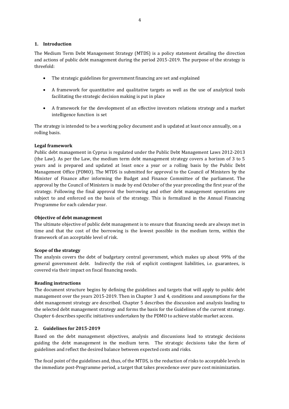#### <span id="page-4-0"></span>**1. Introduction**

The Medium Term Debt Management Strategy (MTDS) is a policy statement detailing the direction and actions of public debt management during the period 2015-2019. The purpose of the strategy is threefold:

- The strategic guidelines for government financing are set and explained
- A framework for quantitative and qualitative targets as well as the use of analytical tools facilitating the strategic decision making is put in place
- A framework for the development of an effective investors relations strategy and a market intelligence function is set

The strategy is intended to be a working policy document and is updated at least once annually, on a rolling basis.

#### **Legal framework**

Public debt management in Cyprus is regulated under the Public Debt Management Laws 2012-2013 (the Law). As per the Law, the medium term debt management strategy covers a horizon of 3 to 5 years and is prepared and updated at least once a year or a rolling basis by the Public Debt Management Office (PDMO). The MTDS is submitted for approval to the Council of Ministers by the Minister of Finance after informing the Budget and Finance Committee of the parliament. The approval by the Council of Ministers is made by end October of the year preceding the first year of the strategy. Following the final approval the borrowing and other debt management operations are subject to and enforced on the basis of the strategy. This is formalized in the Annual Financing Programme for each calendar year.

#### **Objective of debt management**

The ultimate objective of public debt management is to ensure that financing needs are always met in time and that the cost of the borrowing is the lowest possible in the medium term, within the framework of an acceptable level of risk.

#### **Scope of the strategy**

The analysis covers the debt of budgetary central government, which makes up about 99% of the general government debt. Indirectly the risk of explicit contingent liabilities, i.e. guarantees, is covered via their impact on fiscal financing needs.

#### **Reading instructions**

The document structure begins by defining the guidelines and targets that will apply to public debt management over the years 2015-2019. Then in Chapter 3 and 4, conditions and assumptions for the debt management strategy are described. Chapter 5 describes the discussion and analysis leading to the selected debt management strategy and forms the basis for the Guidelines of the current strategy. Chapter 6 describes specific initiatives undertaken by the PDMO to achieve stable market access.

#### <span id="page-4-1"></span>**2. Guidelines for 2015-2019**

Based on the debt management objectives, analysis and discussions lead to strategic decisions guiding the debt management in the medium term. The strategic decisions take the form of guidelines and reflect the desired balance between expected costs and risks.

The focal point of the guidelines and, thus, of the MTDS, is the reduction of risks to acceptable levels in the immediate post-Programme period, a target that takes precedence over pure cost minimization.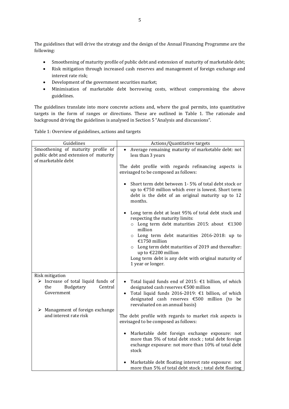The guidelines that will drive the strategy and the design of the Annual Financing Programme are the following:

- Smoothening of maturity profile of public debt and extension of maturity of marketable debt;
- Risk mitigation through increased cash reserves and management of foreign exchange and interest rate risk;
- Development of the government securities market;
- Minimisation of marketable debt borrowing costs, without compromising the above guidelines.

The guidelines translate into more concrete actions and, where the goal permits, into quantitative targets in the form of ranges or directions. These are outlined in Table 1. The rationale and background driving the guidelines is analysed in Section 5 "Analysis and discussions".

| Guidelines                                                                                                                                         | Actions/Quantitative targets                                                                                                                                                                                                                                               |
|----------------------------------------------------------------------------------------------------------------------------------------------------|----------------------------------------------------------------------------------------------------------------------------------------------------------------------------------------------------------------------------------------------------------------------------|
| Smoothening of maturity profile of<br>public debt and extension of maturity<br>of marketable debt                                                  | Average remaining maturity of marketable debt: not<br>$\bullet$<br>less than 3 years                                                                                                                                                                                       |
|                                                                                                                                                    | The debt profile with regards refinancing aspects is<br>envisaged to be composed as follows:                                                                                                                                                                               |
|                                                                                                                                                    | Short term debt between 1-5% of total debt stock or<br>$\bullet$<br>up to €750 million which ever is lowest. Short term<br>debt is the debt of an original maturity up to 12<br>months.                                                                                    |
|                                                                                                                                                    | Long term debt at least 95% of total debt stock and<br>respecting the maturity limits:<br>o Long term debt maturities 2015: about $£1300$                                                                                                                                  |
|                                                                                                                                                    | million<br>o Long term debt maturities 2016-2018: up to<br>€1750 million<br>o Long term debt maturities of 2019 and thereafter:                                                                                                                                            |
|                                                                                                                                                    | up to €2200 million<br>Long term debt is any debt with original maturity of<br>1 year or longer.                                                                                                                                                                           |
| Risk mitigation                                                                                                                                    |                                                                                                                                                                                                                                                                            |
| $\triangleright$ Increase of total liquid funds of<br>Central<br>the<br>Budgetary<br>Government<br>$\triangleright$ Management of foreign exchange | Total liquid funds end of 2015: $\epsilon$ 1 billion, of which<br>$\bullet$<br>designated cash reserves €500 million<br>Total liquid funds 2016-2019: €1 billion, of which<br>$\bullet$<br>designated cash reserves €500 million (to be<br>reevaluated on an annual basis) |
| and interest rate risk                                                                                                                             | The debt profile with regards to market risk aspects is<br>envisaged to be composed as follows:                                                                                                                                                                            |
|                                                                                                                                                    | Marketable debt foreign exchange exposure: not<br>$\bullet$<br>more than 5% of total debt stock; total debt foreign<br>exchange exposure: not more than 10% of total debt<br>stock                                                                                         |
|                                                                                                                                                    | Marketable debt floating interest rate exposure: not<br>more than 5% of total debt stock; total debt floating                                                                                                                                                              |

Table 1: Overview of guidelines, actions and targets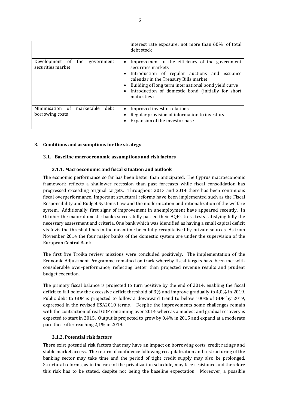|                                                          | interest rate exposure: not more than 60% of total<br>debt stock                                                                                                                                                                                                                                                                                 |
|----------------------------------------------------------|--------------------------------------------------------------------------------------------------------------------------------------------------------------------------------------------------------------------------------------------------------------------------------------------------------------------------------------------------|
| Development of the government<br>securities market       | Improvement of the efficiency of the government<br>$\bullet$<br>securities markets<br>Introduction of regular auctions and issuance<br>$\bullet$<br>calendar in the Treasury Bills market<br>Building of long term international bond yield curve<br>$\bullet$<br>Introduction of domestic bond (initially for short<br>$\bullet$<br>maturities) |
| Minimisation<br>of marketable<br>debt<br>borrowing costs | Improved investor relations<br>$\bullet$<br>Regular provision of information to investors<br>Expansion of the investor base                                                                                                                                                                                                                      |

#### <span id="page-6-0"></span>**3. Conditions and assumptions for the strategy**

#### <span id="page-6-1"></span>**3.1. Baseline macroeconomic assumptions and risk factors**

#### <span id="page-6-2"></span>**3.1.1. Macroeconomic and fiscal situation and outlook**

The economic performance so far has been better than anticipated. The Cyprus macroeconomic framework reflects a shallower recession than past forecasts while fiscal consolidation has progressed exceeding original targets. Throughout 2013 and 2014 there has been continuous fiscal overperformance. Important structural reforms have been implemented such as the Fiscal Responsibility and Budget Systems Law and the modernization and rationalization of the welfare system. Additionally, first signs of improvement in unemployment have appeared recently. In October the major domestic banks successfully passed their AQR-stress tests satisfying fully the necessary assessment and criteria. One bank which was identified as having a small capital deficit vis-á-vis the threshold has in the meantime been fully recapitalised by private sources. As from November 2014 the four major banks of the domestic system are under the supervision of the European Central Bank.

The first five Troika review missions were concluded positively. The implementation of the Economic Adjustment Programme remained on track whereby fiscal targets have been met with considerable over-performance, reflecting better than projected revenue results and prudent budget execution.

The primary fiscal balance is projected to turn positive by the end of 2014, enabling the fiscal deficit to fall below the excessive deficit threshold of 3% and improve gradually to 4,0% in 2019. Public debt to GDP is projected to follow a downward trend to below 100% of GDP by 2019, expressed in the revised ESA2010 terms. Despite the improvements some challenges remain with the contraction of real GDP continuing over 2014 whereas a modest and gradual recovery is expected to start in 2015. Output is projected to grow by 0,4% in 2015 and expand at a moderate pace thereafter reaching 2,1% in 2019.

#### <span id="page-6-3"></span>**3.1.2. Potential risk factors**

There exist potential risk factors that may have an impact on borrowing costs, credit ratings and stable market access. The return of confidence following recapitalization and restructuring of the banking sector may take time and the period of tight credit supply may also be prolonged. Structural reforms, as in the case of the privatization schedule, may face resistance and therefore this risk has to be stated, despite not being the baseline expectation. Moreover, a possible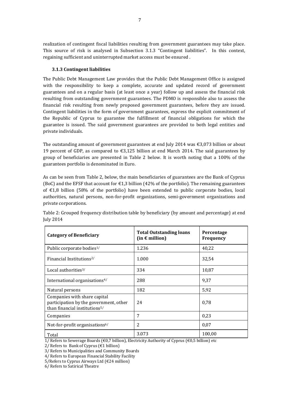realization of contingent fiscal liabilities resulting from government guarantees may take place. This source of risk is analysed in Subsection 3.1.3 "Contingent liabilities". In this context, regaining sufficient and uninterrupted market access must be ensured .

#### <span id="page-7-0"></span>**3.1.3 Contingent liabilities**

The Public Debt Management Law provides that the Public Debt Management Office is assigned with the responsibility to keep a complete, accurate and updated record of government guarantees and on a regular basis (at least once a year) follow up and assess the financial risk resulting from outstanding government guarantees. The PDMO is responsible also to assess the financial risk resulting from newly proposed government guarantees, before they are issued. Contingent liabilities in the form of government guarantees, express the explicit commitment of the Republic of Cyprus to guarantee the fulfillment of financial obligations for which the guarantee is issued. The said government guarantees are provided to both legal entities and private individuals.

The outstanding amount of government guarantees at end July 2014 was  $\epsilon$ 3,073 billion or about 19 percent of GDP, as compared to  $\epsilon$ 3,125 billion at end March 2014. The said guarantees by group of beneficiaries are presented in Table 2 below. It is worth noting that a 100% of the guarantees portfolio is denominated in Euro.

As can be seen from Table 2, below, the main beneficiaries of guarantees are the Bank of Cyprus (BoC) and the EFSF that account for  $\epsilon$ 1,3 billion (42% of the portfolio). The remaining guarantees of  $\epsilon$ 1,8 billion (58% of the portfolio) have been extended to public corporate bodies, local authorities, natural persons, non-for-profit organizations, semi-government organizations and private corporations.

| <b>Category of Beneficiary</b>                                                                                      | <b>Total Outstanding loans</b><br>(in $\epsilon$ million) | <b>Percentage</b><br><b>Frequency</b> |
|---------------------------------------------------------------------------------------------------------------------|-----------------------------------------------------------|---------------------------------------|
| Public corporate bodies <sup>1/</sup>                                                                               | 1.236                                                     | 40,22                                 |
| Financial Institutions <sup>2</sup> /                                                                               | 1.000                                                     | 32,54                                 |
| Local authorities <sup>3/</sup>                                                                                     | 334                                                       | 10,87                                 |
| International organisations <sup>4/</sup>                                                                           | 288                                                       | 9.37                                  |
| Natural persons                                                                                                     | 182                                                       | 5,92                                  |
| Companies with share capital<br>participation by the government, other<br>than financial institutions <sup>5/</sup> | 24                                                        | 0,78                                  |
| Companies                                                                                                           | 7                                                         | 0,23                                  |
| Not-for-profit organisations <sup>6/</sup>                                                                          | $\overline{c}$                                            | 0,07                                  |
| Total                                                                                                               | 3.073                                                     | 100,00                                |

Table 2: Grouped frequency distribution table by beneficiary (by amount and percentage) at end July 2014

1/ Refers to Sewerage Boards (€0,7 billion), Electricity Authority of Cyprus (€0,5 billion) etc

2/ Refers to Bank of Cyprus ( $€1$  billion)

3/ Refers to Municipalities and Community Boards

4/ Refers to European Financial Stability Facility

5/Refers to Cyprus Airways Ltd (€24 million)

6/ Refers to Satirical Theatre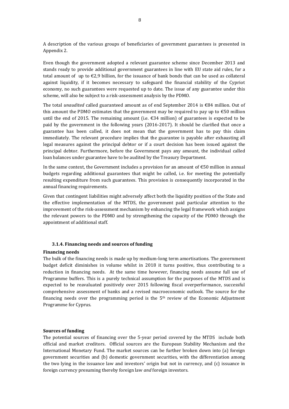A description of the various groups of beneficiaries of government guarantees is presented in Appendix 2.

Even though the government adopted a relevant guarantee scheme since December 2013 and stands ready to provide additional government guarantees in line with EU state aid rules, for a total amount of up to  $\epsilon$ 2,9 billion, for the issuance of bank bonds that can be used as collateral against liquidity, if it becomes necessary to safeguard the financial stability of the Cypriot economy, no such guarantees were requested up to date. The issue of any guarantee under this scheme, will also be subject to a risk-assessment analysis by the PDMO.

The total *unaudited* called guaranteed amount as of end September 2014 is €84 million. Out of this amount the PDMO estimates that the government may be required to pay up to  $\epsilon$ 50 million until the end of 2015. The remaining amount (i.e.  $\epsilon$ 34 million) of guarantees is expected to be paid by the government in the following years (2016-2017). It should be clarified that once a guarantee has been called, it does not mean that the government has to pay this claim immediately. The relevant procedure implies that the guarantee is payable after exhausting all legal measures against the principal debtor or if a court decision has been issued against the principal debtor. Furthermore, before the Government pays any amount, the individual called loan balances under guarantee have to be audited by the Treasury Department.

In the same context, the Government includes a provision for an amount of  $\epsilon$ 50 million in annual budgets regarding additional guarantees that might be called, i.e. for meeting the potentially resulting expenditure from such guarantees. This provision is consequently incorporated in the annual financing requirements.

Given that contingent liabilities might adversely affect both the liquidity position of the State and the effective implementation of the MTDS, the government paid particular attention to the improvement of the risk-assessment mechanism by enhancing the legal framework which assigns the relevant powers to the PDMO and by strengthening the capacity of the PDMO through the appointment of additional staff.

#### **3.1.4. Financing needs and sources of funding**

#### <span id="page-8-0"></span>**Financing needs**

The bulk of the financing needs is made up by medium-long term amortisations. The government budget deficit diminishes in volume whilst in 2018 it turns positive, thus contributing to a reduction in financing needs. At the same time however, financing needs assume full use of Programme buffers. This is a purely technical assumption for the purposes of the MTDS and is expected to be reavaluated positively over 2015 following fiscal overperformance, successful comprehensive assessment of banks and a revised macroeconomic outlook. The source for the financing needs over the programming period is the  $5<sup>th</sup>$  review of the Economic Adjustment Programme for Cyprus.

#### **Sources of funding**

The potential sources of financing over the 5-year period covered by the MTDS include both official and market creditors. Official sources are the European Stability Mechanism and the International Monetary Fund. The market sources can be further broken down into (a) foreign government securities and (b) domestic government securities, with the differentiation among the two lying in the issuance law and investors' origin but not in currency, and (c) issuance in foreign currency presuming thereby foreign law *and* foreign investors.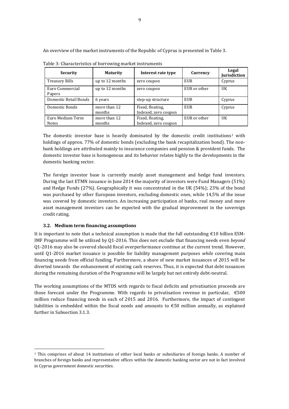An overview of the market instruments of the Republic of Cyprus is presented in Table 3.

| Security                         | <b>Maturity</b>        | Interest rate type                       | Currency     | Legal<br>Jurisdiction |
|----------------------------------|------------------------|------------------------------------------|--------------|-----------------------|
| Treasury Bills                   | up to 12 months        | zero coupon                              | EUR          | Cyprus                |
| Euro Commercial<br>Papers        | up to 12 months        | zero coupon                              | EUR or other | UK                    |
| Domestic Retail Bonds            | 6 years                | step-up structure                        | EUR          | Cyprus                |
| Domestic Bonds                   | more than 12<br>months | Fixed, floating,<br>Indexed, zero coupon | EUR          | Cyprus                |
| Euro Medium Term<br><b>Notes</b> | more than 12<br>months | Fixed, floating,<br>Indexed, zero coupon | EUR or other | UK                    |

Table 3: Characteristics of borrowing market instruments

The domestic investor base is heavily dominated by the domestic credit institutions<sup>1</sup> with holdings of approx. 77% of domestic bonds (excluding the bank recapitalization bond). The nonbank holdings are attributed mainly to insurance companies and pension & provident funds. The domestic investor base is homogenous and its behavior relates highly to the developments in the domestic banking sector.

The foreign investor base is currently mainly asset management and hedge fund investors. During the last ETMN issuance in June 2014 the majority of investors were Fund Managers (51%) and Hedge Funds (27%). Geographically it was concentrated in the UK (54%); 23% of the bond was purchased by other European investors, excluding domestic ones, while 14,5% of the issue was covered by domestic investors. An increasing participation of banks, real money and more asset management investors can be expected with the gradual improvement in the sovereign credit rating.

#### <span id="page-9-0"></span>**3.2. Medium term financing assumptions**

l

It is important to note that a technical assumption is made that the full outstanding €10 billion ESM-IMF Programme will be utilized by Q1-2016. This does not exclude that financing needs even *beyond* Q1-2016 may also be covered should fiscal overperformance continue at the current trend. However, until Q1-2016 market issuance is possible for liability management purposes *while* covering main financing needs from official funding. Furthermore, a share of new market issuances of 2015 will be diverted towards the enhancement of existing cash reserves. Thus, it is expected that debt issuances during the remaining duration of the Programme will be largely but not entirely debt-neutral.

The working assumptions of the MTDS with regards to fiscal deficits and privatisation proceeds are those forecast under the Programme. With regards to privatisation revenue in particular,  $\epsilon$ 500 million reduce financing needs in each of 2015 and 2016. Furthermore, the impact of contingent liabilities is embedded within the fiscal needs and amounts to  $\epsilon$ 50 million annually, as explained further in Subsection 3.1.3.

<sup>1</sup> This comprises of about 14 institutions of either local banks or subsidiaries of foreign banks. A number of branches of foreign banks and representative offices within the domestic banking sector are not in fact involved in Cyprus government domestic securities.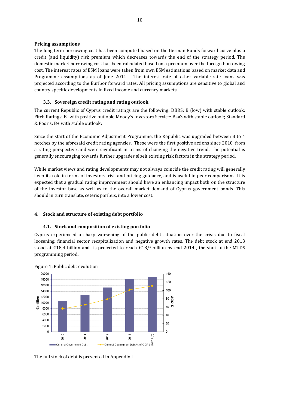#### **Pricing assumptions**

The long term borrowing cost has been computed based on the German Bunds forward curve plus a credit (and liquidity) risk premium which decreases towards the end of the strategy period. The domestic market borrowing cost has been calculated based on a premium over the foreign borrowing cost. The interest rates of ESM loans were taken from own ESM estimations based on market data and Programme assumptions as of June 2014.. The interest rate of other variable-rate loans was projected according to the Euribor forward rates. All pricing assumptions are sensitive to global and country specific developments in fixed income and currency markets.

#### <span id="page-10-0"></span>**3.3. Sovereign credit rating and rating outlook**

The current Republic of Cyprus credit ratings are the following: DBRS: B (low) with stable outlook; Fitch Ratings: B- with positive outlook; Moody's Investors Service: Baa3 with stable outlook; Standard & Poor's: B+ with stable outlook;

Since the start of the Economic Adjustment Programme, the Republic was upgraded between 3 to 4 notches by the aforesaid credit rating agencies. These were the first positive actions since 2010 from a rating perspective and were significant in terms of changing the negative trend. The potential is generally encouraging towards further upgrades albeit existing risk factors in the strategy period.

While market views and rating developments may not always coincide the credit rating will generally keep its role in terms of investors' risk and pricing guidance, and is useful in peer comparisons. It is expected that a gradual rating improvement should have an enhancing impact both on the structure of the investor base as well as to the overall market demand of Cyprus government bonds. This should in turn translate, ceteris paribus, into a lower cost.

#### <span id="page-10-1"></span>**4. Stock and structure of existing debt portfolio**

#### <span id="page-10-2"></span>**4.1. Stock and composition of existing portfolio**

Cyprus experienced a sharp worsening of the public debt situation over the crisis due to fiscal loosening, financial sector recapitalization and negative growth rates. The debt stock at end 2013 stood at €18,4 billion and is projected to reach €18,9 billion by end 2014, the start of the MTDS programming period.





The full stock of debt is presented in Appendix I.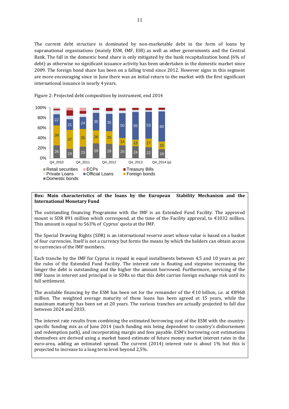The current debt structure is dominated by non-marketable debt in the form of loans by supranational organisations (mainly ESM, IMF, EIB) as well as other governments and the Central Bank. The fall in the domestic bond share is only mitigated by the bank recapitalization bond (6% of debt) as otherwise no significant issuance activity has been undertaken in the domestic market since 2009. The foreign bond share has been on a falling trend since 2012. However signs in this segment are more encouraging since in June there was an initial return to the market with the first significant international issuance in nearly 4 years.



Figure 2: Projected debt composition by instrument, end 2014

#### **Box: Main characteristics of the loans by the European Stability Mechanism and the International Monetary Fund**

The outstanding financing Programme with the IMF is an Extended Fund Facility. The approved mount is SDR 891 million which correspond, at the time of the Facility approval, to €1032 million. This amount is equal to 563% of Cyprus' quota at the IMF.

The Special Drawing Rights (SDR) is an international reserve asset whose value is based on a basket of four currencies. Itself is not a currency but forms the means by which the holders can obtain access to currencies of the IMF members.

Each tranche by the IMF for Cyprus is repaid in equal installments between 4,5 and 10 years as per the rules of the Extended Fund Facility. The interest rate is floating and stepwise increasing the longer the debt is outstanding and the higher the amount borrowed. Furthermore, servicing of the IMF loans in interest and principal is in SDRs so that this debt carries foreign exchange risk until its full settlement.

The available financing by the ESM has been set for the remainder of the  $\text{\textsterling}10$  billion, i.e. at  $\text{\textsterling}8968$ million. The weighted average maturity of these loans has been agreed at 15 years, while the maximum maturity has been set at 20 years. The various tranches are actually projected to fall due between 2024 and 2033.

The interest rate results from combining the estimated borrowing cost of the ESM with the countryspecific funding mix as of June 2014 (such funding mix being dependent to country's disbursement and redemption path), and incorporating margin and fees payable. ESM's borrowing cost estimations themselves are derived using a market based estimate of future money market interest rates in the euro-area, adding an estimated spread. The current (2014) interest rate is about 1% but this is projected to increase to a long term level beyond 2,5%.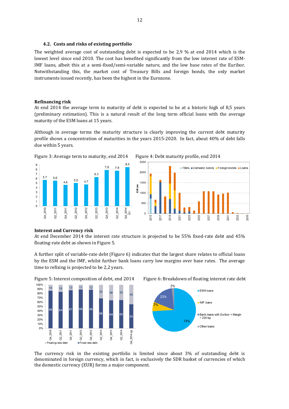#### **4.2. Costs and risks of existing portfolio**

<span id="page-12-0"></span>The weighted average cost of outstanding debt is expected to be 2,9 % at end 2014 which is the lowest level since end 2010. The cost has benefited significantly from the low interest rate of ESM-IMF loans, albeit this at a semi-fixed/semi-variable nature, and the low base rates of the Euribor. Notwithstanding this, the market cost of Treasury Bills and foreign bonds, the only market instruments issued recently, has been the highest in the Eurozone.

#### **Refinancing risk**

At end 2014 the average term to maturity of debt is expected to be at a historic high of 8,5 years (preliminary estimation). This is a natural result of the long term official loans with the average maturity of the ESM loans at 15 years.

Although in average terms the maturity structure is clearly improving the current debt maturity profile shows a concentration of maturities in the years 2015-2020. In fact, about 40% of debt falls due within 5 years.







#### **Interest and Currency risk**

At end December 2014 the interest rate structure is projected to be 55% fixed-rate debt and 45% floating-rate debt as shown in Figure 5.

A further split of variable-rate debt (Figure 6) indicates that the largest share relates to official loans by the ESM and the IMF, whilst further bank loans carry low margins over base rates. The average time to refixing is projected to be 2,2 years.



Figure 5: Interest composition of debt, end 2014 Figure 6: Breakdown of floating interest rate debt



The currency risk in the existing portfolio is limited since about 3% of outstanding debt is denominated in foreign currency, which in fact, is exclusively the SDR basket of currencies of which the domestic currency (EUR) forms a major component.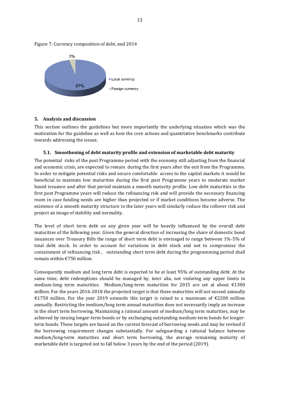

Figure 7: Currency composition of debt, end 2014

#### <span id="page-13-0"></span>**5. Analysis and discussion**

This section outlines the guidelines but more importantly the underlying situation which was the motivation for the guideline as well as how the core actions and quantitative benchmarks contribute towards addressing the issues.

#### <span id="page-13-1"></span>**5.1. Smoothening of debt maturity profile and extension of marketable debt maturity**

The potential risks of the post Programme period with the economy still adjusting from the financial and economic crisis, are expected to remain during the first years after the exit from the Programme. In order to mitigate potential risks and secure comfortable access to the capital markets it would be beneficial to maintain low maturities during the first post Programme years to moderate market based issuance and after that period maintain a smooth maturity profile. Low debt maturities in the first post Programme years will reduce the refinancing risk and will provide the necessary financing room in case funding needs are higher than projected or if market conditions become adverse. The existence of a smooth maturity structure in the later years will similarly reduce the rollover risk and project an image of stability and normality.

The level of short term debt on any given year will be heavily influenced by the overall debt maturities of the following year. Given the general direction of increasing the share of domestic bond issuances over Treasury Bills the range of short term debt is envisaged to range between 1%-5% of total debt stock. In order to account for variations in debt stock and not to compromise the containment of refinancing risk , outstanding short term debt during the programming period shall remain within €750 million.

Consequently medium and long term debt is expected to be at least 95% of outstanding debt. At the same time, debt redemptions should be managed by, inter alia, not violating any upper limits in medium-long term maturities. Medium/long-term maturities for 2015 are set at about €1300 million. For the years 2016-2018 the projected target is that these maturities will not exceed annually €1750 million. For the year 2019 onwards this target is raised to a maximum of €2200 million annually. Restricting the medium/long term annual maturities does not necessarily imply an increase in the short term borrowing. Maintaining a rational amount of medium/long term maturities, may be achieved by issuing longer-term bonds or by exchanging outstanding medium-term bonds for longerterm bonds. These targets are based on the current forecast of borrowing needs and may be revised if the borrowing requirement changes substantially. For safeguarding a rational balance between medium/long-term maturities and short term borrowing, the average remaining maturity of marketable debt is targeted not to fall below 3 years by the end of the period (2019).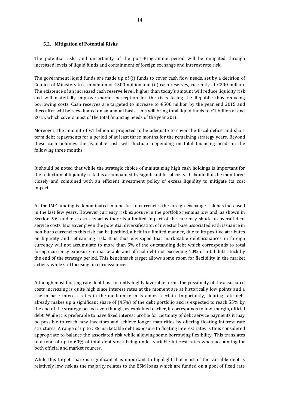#### <span id="page-14-0"></span>**5.2. Mitigation of Potential Risks**

The potential risks and uncertainty of the post-Programme period will be mitigated through increased levels of liquid funds and containment of foreign exchange and interest rate risk.

The government liquid funds are made up of (i) funds to cover cash flow needs, set by a decision of Council of Ministers to a minimum of  $\epsilon$ 500 million and (ii) cash reserves, currently at  $\epsilon$ 200 million. The existence of an increased cash reserve level, higher than today's amount will reduce liquidity risk and will materially improve market perception for the risks facing the Republic thus reducing borrowing costs. Cash reserves are targeted to increase to €500 million by the year end 2015 and thereafter will be reevaluated on an annual basis. This will bring total liquid funds to €1 billion at end 2015, which covers most of the total financing needs of the year 2016.

Moreover, the amount of  $\epsilon$ 1 billion is projected to be adequate to cover the fiscal deficit and short term debt repayments for a period of at least three months for the remaining strategy years. Beyond these cash holdings the available cash will fluctuate depending on total financing needs in the following three months.

It should be noted that while the strategic choice of maintaining high cash holdings is important for the reduction of liquidity risk it is accompanied by significant fiscal costs. It should thus be monitored closely and combined with an efficient investment policy of excess liquidity to mitigate its cost impact.

As the IMF funding is denominated in a basket of currencies the foreign exchange risk has increased in the last few years. However currency risk exposure in the portfolio remains low and, as shown in Section 5.6, under stress scenarios there is a limited impact of the currency shock on overall debt service costs. Moreover given the potential diversification of investor base associated with issuance in non-Euro currencies this risk can be justified, albeit in a limited manner, due to its positive attributes on liquidity and refinancing risk. It is thus envisaged that marketable debt issuances in foreign currency will not accumulate to more than 5% of the outstanding debt which corresponds to total foreign currency exposure in marketable and official debt not exceeding 10% of total debt stock by the end of the strategy period. This benchmark target allows some room for flexibility in the market activity while still focusing on euro issuances.

Although most floating rate debt has currently highly favorable terms the possibility of the associated costs increasing is quite high since interest rates at the moment are at historically low points and a rise in base interest rates in the medium term is almost certain. Importantly, floating rate debt already makes up a significant share of (45%) of the debt portfolio and is expected to reach 55% by the end of the strategy period even though, as explained earlier, it corresponds to low-margin, official debt. While it is preferable to have fixed interest profile for certainty of debt service payments it may be possible to reach new investors and achieve longer maturities by offering floating interest rate structures. A range of up to 5% marketable debt exposure to floating interest rates is thus considered appropriate to balance the associated risk while allowing some borrowing flexibility. This translates to a total of up to 60% of total debt stock being under variable interest rates when accounting for both official and market sources.

While this target share is significant it is important to highlight that most of the variable debt is relatively low risk as the majority relates to the ESM loans which are funded on a pool of fixed rate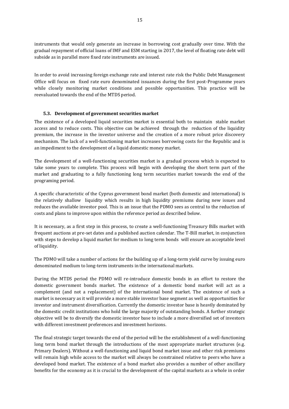instruments that would only generate an increase in borrowing cost gradually over time. With the gradual repayment of official loans of IMF and ESM starting in 2017, the level of floating rate debt will subside as in parallel more fixed rate instruments are issued.

In order to avoid increasing foreign exchange rate and interest rate risk the Public Debt Management Office will focus on fixed rate euro denominated issuances during the first post-Programme years while closely monitoring market conditions and possible opportunities. This practice will be reevaluated towards the end of the MTDS period.

#### <span id="page-15-0"></span>**5.3. Development of government securities market**

The existence of a developed liquid securities market is essential both to maintain stable market access and to reduce costs. This objective can be achieved through the reduction of the liquidity premium, the increase in the investor universe and the creation of a more robust price discovery mechanism. The lack of a well-functioning market increases borrowing costs for the Republic and is an impediment to the development of a liquid domestic money market.

The development of a well-functioning securities market is a gradual process which is expected to take some years to complete. This process will begin with developing the short term part of the market and graduating to a fully functioning long term securities market towards the end of the programing period.

A specific characteristic of the Cyprus government bond market (both domestic and international) is the relatively shallow liquidity which results in high liquidity premiums during new issues and reduces the available investor pool. This is an issue that the PDMO sees as central to the reduction of costs and plans to improve upon within the reference period as described below.

It is necessary, as a first step in this process, to create a well-functioning Treasury Bills market with frequent auctions at pre-set dates and a published auction calendar. The T-Bill market, in conjunction with steps to develop a liquid market for medium to long term bonds will ensure an acceptable level of liquidity.

The PDMO will take a number of actions for the building up of a long-term yield curve by issuing euro denominated medium to long-term instruments in the international markets.

During the MTDS period the PDMO will re-introduce domestic bonds in an effort to restore the domestic government bonds market. The existence of a domestic bond market will act as a complement (and not a replacement) of the international bond market. The existence of such a market is necessary as it will provide a more stable investor base segment as well as opportunities for investor and instrument diversification. Currently the domestic investor base is heavily dominated by the domestic credit institutions who hold the large majority of outstanding bonds. A further strategic objective will be to diversify the domestic investor base to include a more diversified set of investors with different investment preferences and investment horizons.

The final strategic target towards the end of the period will be the establishment of a well-functioning long term bond market through the introductions of the most appropriate market structures (e.g. Primary Dealers). Without a well-functioning and liquid bond market issue and other risk premiums will remain high while access to the market will always be constrained relative to peers who have a developed bond market. The existence of a bond market also provides a number of other ancillary benefits for the economy as it is crucial to the development of the capital markets as a whole in order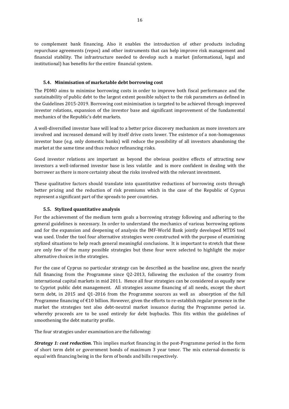to complement bank financing. Also it enables the introduction of other products including repurchase agreements (repos) and other instruments that can help improve risk management and financial stability. The infrastructure needed to develop such a market (informational, legal and institutional) has benefits for the entire financial system.

#### <span id="page-16-0"></span>**5.4. Minimisation of marketable debt borrowing cost**

The PDMO aims to minimise borrowing costs in order to improve both fiscal performance and the sustainability of public debt to the largest extent possible subject to the risk parameters as defined in the Guidelines 2015-2019. Borrowing cost minimisation is targeted to be achieved through improved investor relations, expansion of the investor base and significant improvement of the fundamental mechanics of the Republic's debt markets.

A well-diversified investor base will lead to a better price discovery mechanism as more investors are involved and increased demand will by itself drive costs lower. The existence of a non-homogenous investor base (e.g. only domestic banks) will reduce the possibility of all investors abandoning the market at the same time and thus reduce refinancing risks.

Good investor relations are important as beyond the obvious positive effects of attracting new investors a well-informed investor base is less volatile and is more confident in dealing with the borrower as there is more certainty about the risks involved with the relevant investment.

These qualitative factors should translate into quantitative reductions of borrowing costs through better pricing and the reduction of risk premiums which in the case of the Republic of Cyprus represent a significant part of the spreads to peer countries.

#### <span id="page-16-1"></span>**5.5. Stylized quantitative analysis**

For the achievement of the medium term goals a borrowing strategy following and adhering to the general guidelines is necessary. In order to understand the mechanics of various borrowing options and for the expansion and deepening of analysis the IMF-World Bank jointly developed MTDS tool was used. Under the tool four alternative strategies were constructed with the purpose of examining stylized situations to help reach general meaningful conclusions. It is important to stretch that these are only few of the many possible strategies but these four were selected to highlight the major alternative choices in the strategies.

For the case of Cyprus no particular strategy can be described as the baseline one, given the nearly full financing from the Programme since Q2-2013, following the exclusion of the country from international capital markets in mid 2011. Hence all four strategies can be considered as equally new to Cypriot public debt management. All strategies assume financing of all needs, except the short term debt, in 2015 and Q1-2016 from the Programme sources as well as absorption of the full Programme financing of  $\epsilon$ 10 billion. However, given the efforts to re-establish regular presence in the market the strategies test also debt-neutral market issuance during the Programme period i.e. whereby proceeds are to be used entirely for debt buybacks. This fits within the guidelines of smoothening the debt maturity profile.

The four strategies under examination are the following:

*Strategy 1: cost reduction.* This implies market financing in the post-Programme period in the form of short term debt or government bonds of maximum 3 year tenor. The mix external-domestic is equal with financing being in the form of bonds and bills respectively.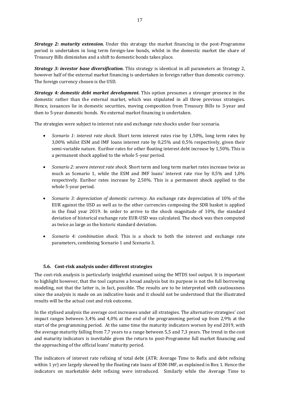*Strategy 2: maturity extension.* Under this strategy the market financing in the post-Programme period is undertaken in long term foreign-law bonds, whilst in the domestic market the share of Treasury Bills diminishes and a shift to domestic bonds takes place.

*Strategy 3: investor base diversification.* This strategy is identical in all parameters as Strategy 2, however half of the external market financing is undertaken in foreign rather than domestic currency. The foreign currency chosen is the USD.

*Strategy 4: domestic debt market development.* This option presumes a stronger presence in the domestic rather than the external market, which was stipulated in all three previous strategies. Hence, issuances lie in domestic securities, moving composition from Treasury Bills to 3-year and then to 5-year domestic bonds. No external market financing is undertaken.

The strategies were subject to interest rate and exchange rate shocks under four scenaria.

- *Scenario 1: interest rate shock*. Short term interest rates rise by 1,50%, long term rates by 3,00% whilst ESM and IMF loans interest rate by 0,25% and 0,5% respectively, given their semi-variable nature. Euribor rates for other floating interest debt increase by 1,50%. This is a permanent shock applied to the whole 5-year period.
- *Scenario 2: severe interest rate shock.* Short term and long term market rates increase twice as much as Scenario 1, while the ESM and IMF loans' interest rate rise by 0,5% and 1,0% respectively. Euribor rates increase by 2,50%. This is a permanent shock applied to the whole 5-year period.
- *Scenario 3: depreciation of domestic currency*. An exchange rate depreciation of 10% of the EUR against the USD as well as to the other currencies composing the SDR basket is applied in the final year 2019. In order to arrive to the shock magnitude of 10%, the standard deviation of historical exchange rate EUR-USD was calculated. The shock was then computed as twice as large as the historic standard deviation.
- *Scenario 4: combination shock.* This is a shock to both the interest and exchange rate parameters, combining Scenario 1 and Scenario 3.

#### <span id="page-17-0"></span>**5.6. Cost-risk analysis under different strategies**

The cost-risk analysis is particularly insightful examined using the MTDS tool output. It is important to highlight however, that the tool captures a broad analysis but its purpose is not the full borrowing modeling, not that the latter is, in fact, possible. The results are to be interpreted with cautiousness since the analysis is made on an indicative basis and it should not be understood that the illustrated results will be the actual cost and risk outcome.

In the stylised analysis the average cost increases under all strategies. The alternative strategies' cost impact ranges between 3,4% and 4,0% at the end of the programming period up from 2,9% at the start of the programming period. At the same time the maturity indicators worsen by end 2019, with the average maturity falling from 7,7 years to a range between 5,5 and 7,3 years. The trend in the cost and maturity indicators is inevitable given the return to post-Programme full market financing and the approaching of the official loans' maturity period.

The indicators of interest rate refixing of total debt (ATR: Average Time to Refix and debt refixing within 1 yr) are largely skewed by the floating rate loans of ESM-IMF, as explained in Box 1. Hence the indicators on marketable debt refixing were introduced. Similarly while the Average Time to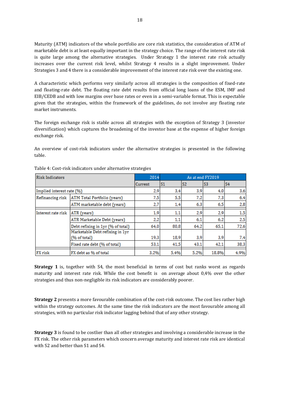Maturity (ATM) indicators of the whole portfolio are core risk statistics, the consideration of ATM of marketable debt is at least equally important in the strategy choice. The range of the interest rate risk is quite large among the alternative strategies. Under Strategy 1 the interest rate risk actually increases over the current risk level, whilst Strategy 4 results in a slight improvement. Under Strategies 3 and 4 there is a considerable improvement of the interest rate risk over the existing one.

A characteristic which performs very similarly across all strategies is the composition of fixed-rate and floating-rate debt. The floating rate debt results from official long loans of the ESM, IMF and EIB/CEDB and with low margins over base rates or even in a semi-variable format. This is expectable given that the strategies, within the framework of the guidelines, do not involve any floating rate market instruments.

The foreign exchange risk is stable across all strategies with the exception of Strategy 3 (investor diversification) which captures the broadening of the investor base at the expense of higher foreign exchange risk.

An overview of cost-risk indicators under the alternative strategies is presented in the following table.

| <b>Risk Indicators</b>    | 2014                                            | As at end FY2019 |                |                |                |                |
|---------------------------|-------------------------------------------------|------------------|----------------|----------------|----------------|----------------|
|                           |                                                 | Current          | S <sub>1</sub> | S <sub>2</sub> | S <sub>3</sub> | S <sub>4</sub> |
| Implied interest rate (%) |                                                 | 2,9              | 3,4            | 3,9            | 4,0            | 3,6            |
| Refinancing risk          | ATM Total Portfolio (years)                     | 7.5              | 5.5            | 7,2            | 7,3            | 6,4            |
|                           | ATM marketable debt (years)                     | 2,7              | 1,4            | 6,3            | 6,5            | 2,8            |
| Interest rate risk        | ATR (years)                                     | 1,9              | 1,1            | 2,9            | 2,9            | 1,5            |
|                           | ATR Marketable Debt (years)                     | 2,2              | 1,1            | 6,1            | 6,2            | 2,5            |
|                           | Debt refixing in 1yr (% of total)               | 64.0             | 80,8           | 64.2           | 65,1           | 72,6           |
|                           | Marketable Debt refixing in 1yr<br>(% of total) | 19.3             | 18.9           | 3,9            | 3,9            | 7,4            |
|                           | Fixed rate debt (% of total)                    | 53.1             | 41.5           | 43.1           | 42.1           | 38.3           |
| FX risk                   | FX debt as % of total                           | 3,2%             | 5,4%           | 5,2%           | 18,8%          | 4,9%           |

Table 4: Cost-risk indicators under alternative strategies

**Strategy 1** is, together with S4, the most beneficial in terms of cost but ranks worst as regards maturity and interest rate risk. While the cost benefit is on average about 0,4% over the other strategies and thus non-negligible its risk indicators are considerably poorer.

**Strategy 2** presents a more favourable combination of the cost-risk outcome. The cost lies rather high within the strategy outcomes. At the same time the risk indicators are the most favourable among all strategies, with no particular risk indicator lagging behind that of any other strategy.

**Strategy 3** is found to be costlier than all other strategies and involving a considerable increase in the FX risk. The other risk parameters which concern average maturity and interest rate risk are identical with S2 and better than S1 and S4.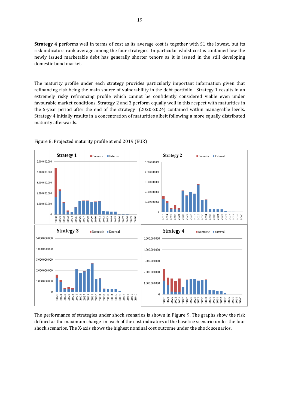**Strategy 4** performs well in terms of cost as its average cost is together with S1 the lowest, but its risk indicators rank average among the four strategies. In particular whilst cost is contained low the newly issued marketable debt has generally shorter tenors as it is issued in the still developing domestic bond market.

The maturity profile under each strategy provides particularly important information given that refinancing risk being the main source of vulnerability in the debt portfolio. Strategy 1 results in an extremely risky refinancing profile which cannot be confidently considered viable even under favourable market conditions. Strategy 2 and 3 perform equally well in this respect with maturities in the 5-year period after the end of the strategy (2020-2024) contained within manageable levels. Strategy 4 initially results in a concentration of maturities albeit following a more equally distributed maturity afterwards.



#### Figure 8: Projected maturity profile at end 2019 (EUR)

The performance of strategies under shock scenarios is shown in Figure 9. The graphs show the risk defined as the maximum change in each of the cost indicators of the baseline scenario under the four shock scenarios. The X-axis shows the highest nominal cost outcome under the shock scenarios.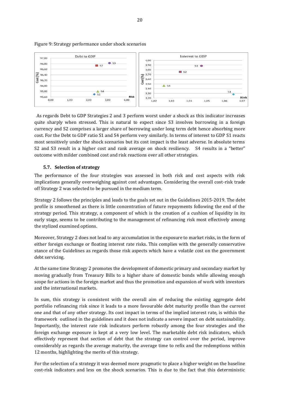

#### Figure 9: Strategy performance under shock scenarios

 As regards Debt to GDP Strategies 2 and 3 perform worst under a shock as this indicator increases quite sharply when stressed. This is natural to expect since S3 involves borrowing in a foreign currency and S2 comprises a larger share of borrowing under long term debt hence absorbing more cost. For the Debt to GDP ratio S1 and S4 perform very similarly. In terms of interest to GDP S1 reacts most sensitively under the shock scenarios but its cost impact is the least adverse. In absolute terms S2 and S3 result in a higher cost and rank average on shock resiliency. S4 results in a "better" outcome with milder combined cost and risk reactions over all other strategies.

#### <span id="page-20-0"></span>**5.7. Selection of strategy**

The performance of the four strategies was assessed in both risk and cost aspects with risk implications generally overweighing against cost advantages. Considering the overall cost-risk trade off Strategy 2 was selected to be pursued in the medium term.

Strategy 2 follows the principles and leads to the goals set out in the Guidelines 2015-2019. The debt profile is smoothened as there is little concentration of future repayments following the end of the strategy period. This strategy, a component of which is the creation of a cushion of liquidity in its early stage, seems to be contributing to the management of refinancing risk most effectively among the stylized examined options.

Moreover, Strategy 2 does not lead to any accumulation in the exposure to market risks, in the form of either foreign exchange or floating interest rate risks. This complies with the generally conservative stance of the Guidelines as regards those risk aspects which have a volatile cost on the government debt servicing.

At the same time Strategy 2 promotes the development of domestic primary and secondary market by moving gradually from Treasury Bills to a higher share of domestic bonds while allowing enough scope for actions in the foreign market and thus the promotion and expansion of work with investors and the international markets.

In sum, this strategy is consistent with the overall aim of reducing the existing aggregate debt portfolio refinancing risk since it leads to a more favourable debt maturity profile than the current one and that of any other strategy. Its cost impact in terms of the implied interest rate, is within the framework outlined in the guidelines and it does not indicate a severe impact on debt sustainability. Importantly, the interest rate risk indicators perform robustly among the four strategies and the foreign exchange exposure is kept at a very low level. The marketable debt risk indicators, which effectively represent that section of debt that the strategy can control over the period, improve considerably as regards the average maturity, the average time to refix and the redemptions within 12 months, highlighting the merits of this strategy.

For the selection of a strategy it was deemed more pragmatic to place a higher weight on the baseline cost-risk indicators and less on the shock scenarios. This is due to the fact that this deterministic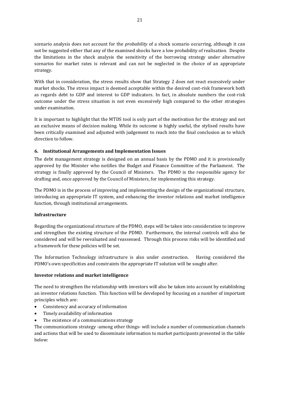scenario analysis does not account for the *probability* of a shock scenario occurring, although it can not be suggested either that any of the examined shocks have a low probability of realisation. Despite the limitations in the shock analysis the sensitivity of the borrowing strategy under alternative scenarios for market rates is relevant and can not be neglected in the choice of an appropriate strategy.

With that in consideration, the stress results show that Strategy 2 does not react excessively under market shocks. The stress impact is deemed acceptable within the desired cost-risk framework both as regards debt to GDP and interest to GDP indicators. In fact, in absolute numbers the cost-risk outcome under the stress situation is not even excessively high compared to the other strategies under examination.

It is important to highlight that the MTDS tool is only part of the motivation for the strategy and not an exclusive means of decision making. While its outcome is highly useful, the stylised results have been critically examined and adjusted with judgement to reach into the final conclusion as to which direction to follow.

#### <span id="page-21-0"></span>**6. Institutional Arrangements and Implementation Issues**

The debt management strategy is designed on an annual basis by the PDMO and it is provisionally approved by the Minister who notifies the Budget and Finance Committee of the Parliament. The strategy is finally approved by the Council of Ministers. The PDMO is the responsible agency for drafting and, once approved by the Council of Ministers, for implementing this strategy.

The PDMO is in the process of improving and implementing the design of the organizational structure, introducing an appropriate IT system, and enhancing the investor relations and market intelligence function, through institutional arrangements.

#### **Infrastructure**

Regarding the organizational structure of the PDMO, steps will be taken into consideration to improve and strengthen the existing structure of the PDMO. Furthermore, the internal controls will also be considered and will be reevaluated and reassessed. Through this process risks will be identified and a framework for these policies will be set.

The Information Technology infrastructure is also under construction. Having considered the PDMO's own specificities and constraints the appropriate IT solution will be sought after.

#### **Investor relations and market intelligence**

The need to strengthen the relationship with investors will also be taken into account by establishing an investor relations function. This function will be developed by focusing on a number of important principles which are:

- Consistency and accuracy of information
- Timely availability of information
- The existence of a communications strategy

The communications strategy -among other things- will include a number of communication channels and actions that will be used to disseminate information to market participants presented in the table below: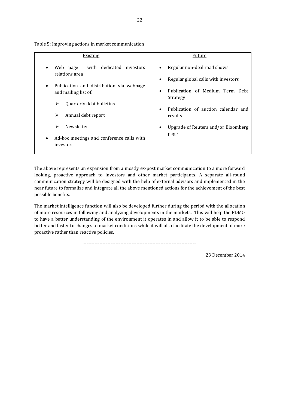| Existing                                                                                                                                                                                                                                                  | Future                                                                                                                                                                                                                                                      |  |  |
|-----------------------------------------------------------------------------------------------------------------------------------------------------------------------------------------------------------------------------------------------------------|-------------------------------------------------------------------------------------------------------------------------------------------------------------------------------------------------------------------------------------------------------------|--|--|
| with dedicated investors<br>Web<br>page<br>relations area<br>Publication and distribution via webpage<br>and mailing list of:<br>Quarterly debt bulletins<br>⋗<br>➤<br>Annual debt report<br>Newsletter<br>⋗<br>Ad-hoc meetings and conference calls with | Regular non-deal road shows<br>٠<br>Regular global calls with investors<br>٠<br>Publication of Medium Term Debt<br>$\bullet$<br>Strategy<br>Publication of auction calendar and<br>$\bullet$<br>results<br>Upgrade of Reuters and/or Bloomberg<br>٠<br>page |  |  |
| investors                                                                                                                                                                                                                                                 |                                                                                                                                                                                                                                                             |  |  |

Table 5: Improving actions in market communication

The above represents an expansion from a mostly ex-post market communication to a more forward looking, proactive approach to investors and other market participants. A separate all-round communication strategy will be designed with the help of external advisors and implemented in the near future to formalize and integrate all the above mentioned actions for the achievement of the best possible benefits.

The market intelligence function will also be developed further during the period with the allocation of more resources in following and analyzing developments in the markets. This will help the PDMO to have a better understanding of the environment it operates in and allow it to be able to respond better and faster to changes to market conditions while it will also facilitate the development of more proactive rather than reactive policies.

----------------------------------------------------------------------

23 December 2014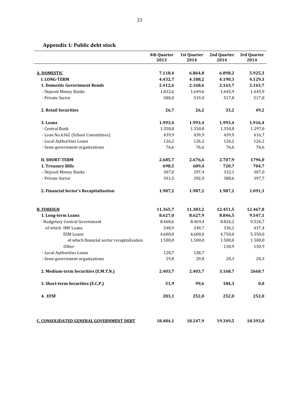### <span id="page-23-0"></span>**Appendix 1: Public debt stock**

|                                            | 4th Quarter<br>2013 | 1st Quarter<br>2014 | 2nd Quarter<br>2014 | 3rd Quarter<br>2014 |
|--------------------------------------------|---------------------|---------------------|---------------------|---------------------|
| <b>A. DOMESTIC</b>                         | 7.118,4             | 6.864,8             | 6.898,2             | 5.925,3             |
| <b>I. LONG-TERM</b>                        | 4.432,7             | 4.188,2             | 4.190,3             | 4.129,3             |
| 1. Domestic Government Bonds               | 2.412,6             | 2.168,6             | 2.163,7             | 2.163,7             |
| - Deposit Money Banks                      | 1.832,6             | 1.649,6             | 1.645,9             | 1.645,9             |
| - Private Sector                           | 580,0               | 519,0               | 517,8               | 517,8               |
| 2. Retail Securities                       | 26,7                | 26,2                | 33,2                | 49,2                |
| 3. Loans                                   | 1.993,4             | 1.993,4             | 1.993,4             | 1.916,4             |
| - Central Bank                             | 1.350,8             | 1.350,8             | 1.350,8             | 1.297,0             |
| - Loan No.6362 (School Committees)         | 439,9               | 439,9               | 439,9               | 416,7               |
| - Local Authorities Loans                  | 126,2               | 126,2               | 126,2               | 126,2               |
| - Semi-government organisations            | 76,6                | 76,6                | 76,6                | 76,6                |
| <b>II. SHORT-TERM</b>                      | 2.685,7             | 2.676,6             | 2.707,9             | 1796,0              |
| 1. Treasury Bills                          | 698,5               | 689,4               | 720,7               | 704,7               |
| - Deposit Money Banks                      | 307,0               | 297,4               | 332,1               | 307,0               |
| - Private Sector                           | 391,5               | 392,0               | 388,6               | 397,7               |
| 2. Financial Sector's Recapitalisation     | 1.987,2             | 1.987,2             | 1.987,2             | 1.091,3             |
| <b>B. FOREIGN</b>                          | 11.365,7            | 11.383,2            | 12.451,5            | 12.467,8            |
| 1. Long-term Loans                         | 8.627,0             | 8.627,9             | 8.846,5             | 9.547,1             |
| - Budgetary Central Government             | 8.468,6             | 8.469,4             | 8.826,2             | 9.526,7             |
| of which IMF Loans                         | 248,9               | 249,7               | 336,2               | 437,4               |
| <b>ESM Loans</b>                           | 4.600,0             | 4.600,0             | 4.750,0             | 5.350,0             |
| of which financial sector recapitalisation | 1.500,0             | 1.500,0             | 1.500,0             | 1.500,0             |
| Other                                      |                     |                     | 130,9               | 130,9               |
| - Local Authorities Loans                  | 128,7               | 128,7               |                     |                     |
| - Semi-government organisations            | 29,8                | 29,8                | 20,3                | 20,3                |
| 2. Medium-term Securities (E.M.T.N.)       | 2.403,7             | 2.403,7             | 3.168,7             | 2668.7              |
| 3. Short-term Securities (E.C.P.)          | 51,9                | 99,6                | 184,3               | 0,0                 |
| 4. EFSF                                    | 283,1               | 252,0               | 252,0               | 252,0               |
| C. CONSOLIDATED GENERAL GOVERNMENT DEBT    | 18.484,1            | 18.247,9            | 19.349,5            | 18.393,0            |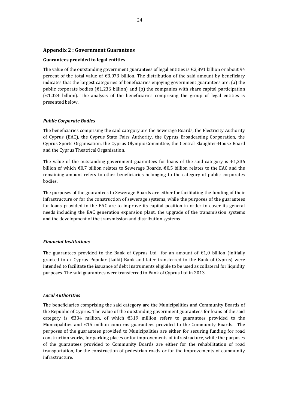#### <span id="page-24-0"></span>**Appendix 2 : Government Guarantees**

#### **Guarantees provided to legal entities**

The value of the outstanding government guarantees of legal entities is  $\epsilon$ 2,891 billion or about 94 percent of the total value of  $\epsilon$ 3,073 billion. The distribution of the said amount by beneficiary indicates that the largest categories of beneficiaries enjoying government guarantees are: (a) the public corporate bodies ( $\epsilon$ 1,236 billion) and (b) the companies with share capital participation  $(\text{\textsterling}1,024)$  billion). The analysis of the beneficiaries comprising the group of legal entities is presented below.

#### *Public Corporate Bodies*

The beneficiaries comprising the said category are the Sewerage Boards, the Electricity Authority of Cyprus (EAC), the Cyprus State Fairs Authority, the Cyprus Broadcasting Corporation, the Cyprus Sports Organisation, the Cyprus Olympic Committee, the Central Slaughter-House Board and the Cyprus Theatrical Organisation.

The value of the outstanding government guarantees for loans of the said category is  $\epsilon$ 1,236 billion of which €0,7 billion relates to Sewerage Boards, €0,5 billion relates to the EAC and the remaining amount refers to other beneficiaries belonging to the category of public corporates bodies.

The purposes of the guarantees to Sewerage Boards are either for facilitating the funding of their infrastructure or for the construction of sewerage systems, while the purposes of the guarantees for loans provided to the EAC are to improve its capital position in order to cover its general needs including the EAC generation expansion plant, the upgrade of the transmission systems and the development of the transmission and distribution systems.

#### *Financial Institutions*

The guarantees provided to the Bank of Cyprus Ltd for an amount of  $\epsilon$ 1,0 billion (initially granted to ex Cyprus Popular [Laiki] Bank and later transferred to the Bank of Cyprus) were intended to facilitate the issuance of debt instruments eligible to be used as collateral for liquidity purposes. The said guarantees were transferred to Bank of Cyprus Ltd in 2013.

#### *Local Authorities*

The beneficiaries comprising the said category are the Municipalities and Community Boards of the Republic of Cyprus. The value of the outstanding government guarantees for loans of the said category is €334 million, of which €319 million refers to guarantees provided to the Municipalities and €15 million concerns guarantees provided to the Community Boards. The purposes of the guarantees provided to Municipalities are either for securing funding for road construction works, for parking places or for improvements of infrastructure, while the purposes of the guarantees provided to Community Boards are either for the rehabilitation of road transportation, for the construction of pedestrian roads or for the improvements of community infrastructure.